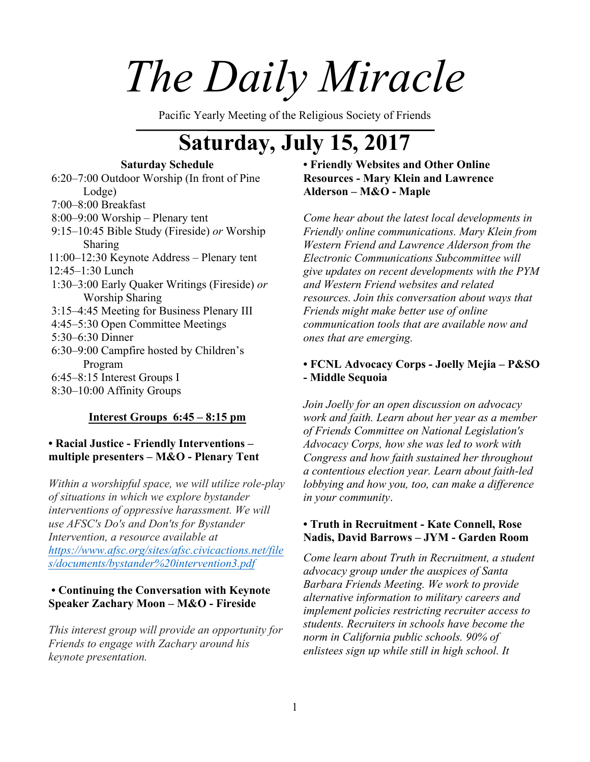# *The Daily Miracle*

Pacific Yearly Meeting of the Religious Society of Friends

# **Saturday, July 15, 2017**

# **Saturday Schedule**

6:20–7:00 Outdoor Worship (In front of Pine Lodge) 7:00–8:00 Breakfast 8:00–9:00 Worship – Plenary tent 9:15–10:45 Bible Study (Fireside) *or* Worship Sharing 11:00–12:30 Keynote Address – Plenary tent 12:45–1:30 Lunch 1:30–3:00 Early Quaker Writings (Fireside) *or* Worship Sharing 3:15–4:45 Meeting for Business Plenary III 4:45–5:30 Open Committee Meetings 5:30–6:30 Dinner 6:30–9:00 Campfire hosted by Children's Program 6:45–8:15 Interest Groups I 8:30–10:00 Affinity Groups

# **Interest Groups 6:45 – 8:15 pm**

## **• Racial Justice - Friendly Interventions – multiple presenters – M&O - Plenary Tent**

*Within a worshipful space, we will utilize role-play of situations in which we explore bystander interventions of oppressive harassment. We will use AFSC's Do's and Don'ts for Bystander Intervention, a resource available at https://www.afsc.org/sites/afsc.civicactions.net/file s/documents/bystander%20intervention3.pdf*

# **• Continuing the Conversation with Keynote Speaker Zachary Moon – M&O - Fireside**

*This interest group will provide an opportunity for Friends to engage with Zachary around his keynote presentation.* 

# **• Friendly Websites and Other Online Resources - Mary Klein and Lawrence Alderson – M&O - Maple**

*Come hear about the latest local developments in Friendly online communications. Mary Klein from Western Friend and Lawrence Alderson from the Electronic Communications Subcommittee will give updates on recent developments with the PYM and Western Friend websites and related resources. Join this conversation about ways that Friends might make better use of online communication tools that are available now and ones that are emerging.* 

# **• FCNL Advocacy Corps - Joelly Mejia – P&SO - Middle Sequoia**

*Join Joelly for an open discussion on advocacy work and faith. Learn about her year as a member of Friends Committee on National Legislation's Advocacy Corps, how she was led to work with Congress and how faith sustained her throughout a contentious election year. Learn about faith-led lobbying and how you, too, can make a difference in your community*.

### **• Truth in Recruitment - Kate Connell, Rose Nadis, David Barrows – JYM - Garden Room**

*Come learn about Truth in Recruitment, a student advocacy group under the auspices of Santa Barbara Friends Meeting. We work to provide alternative information to military careers and implement policies restricting recruiter access to students. Recruiters in schools have become the norm in California public schools. 90% of enlistees sign up while still in high school. It*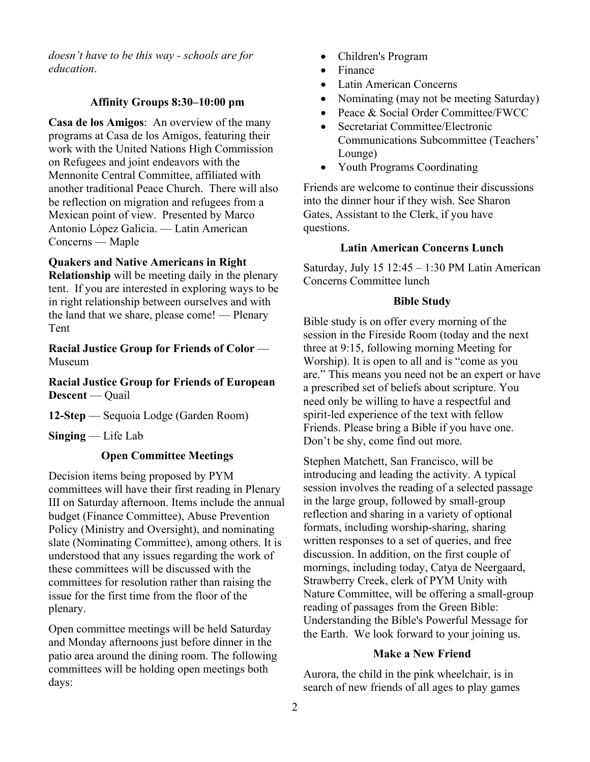*doesn't have to be this way - schools are for education*.

#### **Affinity Groups 8:30–10:00 pm**

**Casa de los Amigos**: An overview of the many programs at Casa de los Amigos, featuring their work with the United Nations High Commission on Refugees and joint endeavors with the Mennonite Central Committee, affiliated with another traditional Peace Church. There will also be reflection on migration and refugees from a Mexican point of view. Presented by Marco Antonio López Galicia. — Latin American Concerns — Maple

#### **Quakers and Native Americans in Right**

**Relationship** will be meeting daily in the plenary tent. If you are interested in exploring ways to be in right relationship between ourselves and with the land that we share, please come! — Plenary Tent

**Racial Justice Group for Friends of Color** — Museum

**Racial Justice Group for Friends of European Descent** — Quail

**12-Step** — Sequoia Lodge (Garden Room)

**Singing** — Life Lab

# **Open Committee Meetings**

Decision items being proposed by PYM committees will have their first reading in Plenary III on Saturday afternoon. Items include the annual budget (Finance Committee), Abuse Prevention Policy (Ministry and Oversight), and nominating slate (Nominating Committee), among others. It is understood that any issues regarding the work of these committees will be discussed with the committees for resolution rather than raising the issue for the first time from the floor of the plenary.

Open committee meetings will be held Saturday and Monday afternoons just before dinner in the patio area around the dining room. The following committees will be holding open meetings both days:

- Children's Program
- Finance
- Latin American Concerns
- Nominating (may not be meeting Saturday)
- Peace & Social Order Committee/FWCC
- Secretariat Committee/Electronic Communications Subcommittee (Teachers' Lounge)
- Youth Programs Coordinating

Friends are welcome to continue their discussions into the dinner hour if they wish. See Sharon Gates, Assistant to the Clerk, if you have questions.

#### **Latin American Concerns Lunch**

Saturday, July 15 12:45 – 1:30 PM Latin American Concerns Committee lunch

#### **Bible Study**

Bible study is on offer every morning of the session in the Fireside Room (today and the next three at 9:15, following morning Meeting for Worship). It is open to all and is "come as you are." This means you need not be an expert or have a prescribed set of beliefs about scripture. You need only be willing to have a respectful and spirit-led experience of the text with fellow Friends. Please bring a Bible if you have one. Don't be shy, come find out more.

Stephen Matchett, San Francisco, will be introducing and leading the activity. A typical session involves the reading of a selected passage in the large group, followed by small-group reflection and sharing in a variety of optional formats, including worship-sharing, sharing written responses to a set of queries, and free discussion. In addition, on the first couple of mornings, including today, Catya de Neergaard, Strawberry Creek, clerk of PYM Unity with Nature Committee, will be offering a small-group reading of passages from the Green Bible: Understanding the Bible's Powerful Message for the Earth. We look forward to your joining us.

#### **Make a New Friend**

Aurora, the child in the pink wheelchair, is in search of new friends of all ages to play games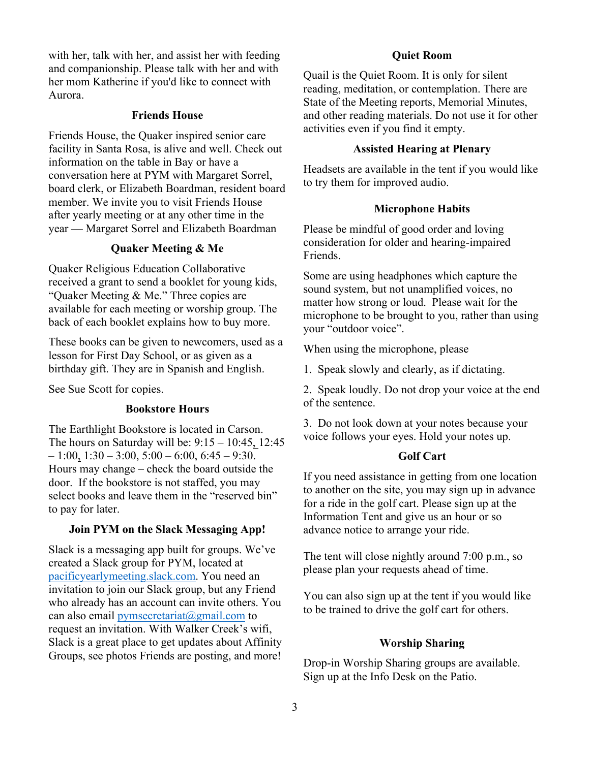with her, talk with her, and assist her with feeding and companionship. Please talk with her and with her mom Katherine if you'd like to connect with Aurora.

#### **Friends House**

Friends House, the Quaker inspired senior care facility in Santa Rosa, is alive and well. Check out information on the table in Bay or have a conversation here at PYM with Margaret Sorrel, board clerk, or Elizabeth Boardman, resident board member. We invite you to visit Friends House after yearly meeting or at any other time in the year — Margaret Sorrel and Elizabeth Boardman

#### **Quaker Meeting & Me**

Quaker Religious Education Collaborative received a grant to send a booklet for young kids, "Quaker Meeting & Me." Three copies are available for each meeting or worship group. The back of each booklet explains how to buy more.

These books can be given to newcomers, used as a lesson for First Day School, or as given as a birthday gift. They are in Spanish and English.

See Sue Scott for copies.

#### **Bookstore Hours**

The Earthlight Bookstore is located in Carson. The hours on Saturday will be: 9:15 – 10:45, 12:45  $-1:00$ ,  $1:30 - 3:00$ ,  $5:00 - 6:00$ ,  $6:45 - 9:30$ . Hours may change – check the board outside the door. If the bookstore is not staffed, you may select books and leave them in the "reserved bin" to pay for later.

#### **Join PYM on the Slack Messaging App!**

Slack is a messaging app built for groups. We've created a Slack group for PYM, located at pacificyearlymeeting.slack.com. You need an invitation to join our Slack group, but any Friend who already has an account can invite others. You can also email pymsecretariat@gmail.com to request an invitation. With Walker Creek's wifi, Slack is a great place to get updates about Affinity Groups, see photos Friends are posting, and more!

#### **Quiet Room**

Quail is the Quiet Room. It is only for silent reading, meditation, or contemplation. There are State of the Meeting reports, Memorial Minutes, and other reading materials. Do not use it for other activities even if you find it empty.

#### **Assisted Hearing at Plenary**

Headsets are available in the tent if you would like to try them for improved audio.

#### **Microphone Habits**

Please be mindful of good order and loving consideration for older and hearing-impaired Friends.

Some are using headphones which capture the sound system, but not unamplified voices, no matter how strong or loud. Please wait for the microphone to be brought to you, rather than using your "outdoor voice".

When using the microphone, please

1. Speak slowly and clearly, as if dictating.

2. Speak loudly. Do not drop your voice at the end of the sentence.

3. Do not look down at your notes because your voice follows your eyes. Hold your notes up.

#### **Golf Cart**

If you need assistance in getting from one location to another on the site, you may sign up in advance for a ride in the golf cart. Please sign up at the Information Tent and give us an hour or so advance notice to arrange your ride.

The tent will close nightly around 7:00 p.m., so please plan your requests ahead of time.

You can also sign up at the tent if you would like to be trained to drive the golf cart for others.

#### **Worship Sharing**

Drop-in Worship Sharing groups are available. Sign up at the Info Desk on the Patio.